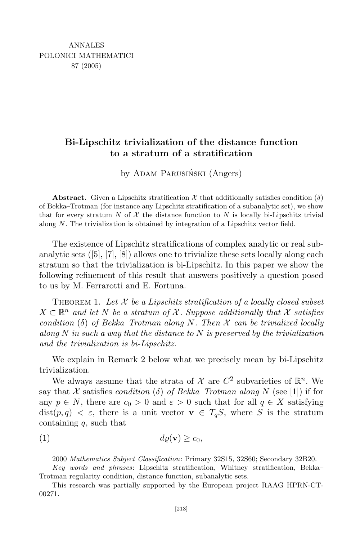## Bi-Lipschitz trivialization of the distance function to a stratum of a stratification

by ADAM PARUSIŃSKI (Angers)

**Abstract.** Given a Lipschitz stratification X that additionally satisfies condition  $(\delta)$ of Bekka–Trotman (for instance any Lipschitz stratification of a subanalytic set), we show that for every stratum N of X the distance function to N is locally bi-Lipschitz trivial along  $N$ . The trivialization is obtained by integration of a Lipschitz vector field.

The existence of Lipschitz stratifications of complex analytic or real subanalytic sets ([5], [7], [8]) allows one to trivialize these sets locally along each stratum so that the trivialization is bi-Lipschitz. In this paper we show the following refinement of this result that answers positively a question posed to us by M. Ferrarotti and E. Fortuna.

THEOREM 1. Let  $X$  be a Lipschitz stratification of a locally closed subset  $X \subset \mathbb{R}^n$  and let N be a stratum of X. Suppose additionally that X satisfies condition (δ) of Bekka–Trotman along N. Then  $\mathcal X$  can be trivialized locally along N in such a way that the distance to N is preserved by the trivialization and the trivialization is bi-Lipschitz.

We explain in Remark 2 below what we precisely mean by bi-Lipschitz trivialization.

We always assume that the strata of  $\mathcal X$  are  $C^2$  subvarieties of  $\mathbb R^n$ . We say that X satisfies *condition* (δ) of Bekka–Trotman along N (see [1]) if for any  $p \in N$ , there are  $c_0 > 0$  and  $\varepsilon > 0$  such that for all  $q \in X$  satisfying  $dist(p, q) < \varepsilon$ , there is a unit vector  $\mathbf{v} \in T_qS$ , where S is the stratum containing  $q$ , such that

$$
(1) \t d\varrho(\mathbf{v}) \geq c_0,
$$

<sup>2000</sup> Mathematics Subject Classification: Primary 32S15, 32S60; Secondary 32B20.

Key words and phrases: Lipschitz stratification, Whitney stratification, Bekka– Trotman regularity condition, distance function, subanalytic sets.

This research was partially supported by the European project RAAG HPRN-CT-00271.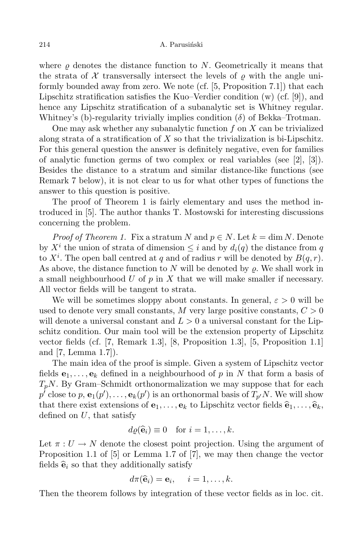where  $\rho$  denotes the distance function to N. Geometrically it means that the strata of  $\mathcal X$  transversally intersect the levels of  $\rho$  with the angle uniformly bounded away from zero. We note (cf. [5, Proposition 7.1]) that each Lipschitz stratification satisfies the Kuo–Verdier condition (w) (cf. [9]), and hence any Lipschitz stratification of a subanalytic set is Whitney regular. Whitney's (b)-regularity trivially implies condition  $(\delta)$  of Bekka–Trotman.

One may ask whether any subanalytic function  $f$  on  $X$  can be trivialized along strata of a stratification of  $X$  so that the trivialization is bi-Lipschitz. For this general question the answer is definitely negative, even for families of analytic function germs of two complex or real variables (see [2], [3]). Besides the distance to a stratum and similar distance-like functions (see Remark 7 below), it is not clear to us for what other types of functions the answer to this question is positive.

The proof of Theorem 1 is fairly elementary and uses the method introduced in [5]. The author thanks T. Mostowski for interesting discussions concerning the problem.

*Proof of Theorem 1.* Fix a stratum N and  $p \in N$ . Let  $k = \dim N$ . Denote by  $X^i$  the union of strata of dimension  $\leq i$  and by  $d_i(q)$  the distance from q to  $X^i$ . The open ball centred at q and of radius r will be denoted by  $B(q, r)$ . As above, the distance function to N will be denoted by  $\rho$ . We shall work in a small neighbourhood U of  $p$  in X that we will make smaller if necessary. All vector fields will be tangent to strata.

We will be sometimes sloppy about constants. In general,  $\varepsilon > 0$  will be used to denote very small constants,  $M$  very large positive constants,  $C > 0$ will denote a universal constant and  $L > 0$  a universal constant for the Lipschitz condition. Our main tool will be the extension property of Lipschitz vector fields (cf. [7, Remark 1.3], [8, Proposition 1.3], [5, Proposition 1.1] and [7, Lemma 1.7]).

The main idea of the proof is simple. Given a system of Lipschitz vector fields  $e_1, \ldots, e_k$  defined in a neighbourhood of p in N that form a basis of  $T_pN$ . By Gram–Schmidt orthonormalization we may suppose that for each  $p'$  close to  $p,$   ${\bf e}_1(p'), \ldots , {\bf e}_k(p')$  is an orthonormal basis of  $T_{p'}N.$  We will show that there exist extensions of  $e_1, \ldots, e_k$  to Lipschitz vector fields  $\hat{e}_1, \ldots, \hat{e}_k$ , defined on  $U$ , that satisfy

$$
d\varrho(\widehat{\mathbf{e}}_i) \equiv 0 \text{ for } i = 1, \ldots, k.
$$

Let  $\pi: U \to N$  denote the closest point projection. Using the argument of Proposition 1.1 of [5] or Lemma 1.7 of [7], we may then change the vector fields  $\hat{\mathbf{e}}_i$  so that they additionally satisfy

$$
d\pi(\widehat{\mathbf{e}}_i) = \mathbf{e}_i, \quad i = 1, \dots, k.
$$

Then the theorem follows by integration of these vector fields as in loc. cit.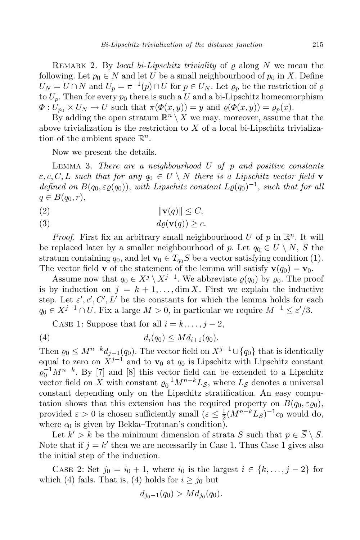REMARK 2. By local bi-Lipschitz triviality of  $\rho$  along N we mean the following. Let  $p_0 \in N$  and let U be a small neighbourhood of  $p_0$  in X. Define  $U_N = U \cap N$  and  $U_p = \pi^{-1}(p) \cap U$  for  $p \in U_N$ . Let  $\varrho_p$  be the restriction of  $\varrho$ to  $U_p$ . Then for every  $p_0$  there is such a U and a bi-Lipschitz homeomorphism  $\Phi: U_{p_0} \times U_N \to U$  such that  $\pi(\Phi(x, y)) = y$  and  $\rho(\Phi(x, y)) = \rho_p(x)$ .

By adding the open stratum  $\mathbb{R}^n \setminus X$  we may, moreover, assume that the above trivialization is the restriction to  $X$  of a local bi-Lipschitz trivialization of the ambient space  $\mathbb{R}^n$ .

Now we present the details.

LEMMA 3. There are a neighbourhood  $U$  of  $p$  and positive constants  $\varepsilon, c, C, L$  such that for any  $q_0 \in U \setminus N$  there is a Lipschitz vector field **v** defined on  $B(q_0, \varepsilon_0(q_0))$ , with Lipschitz constant  $L_0(q_0)^{-1}$ , such that for all  $q \in B(q_0, r)$ ,

- (2)  $\|\mathbf{v}(q)\| \leq C$ ,
- (3)  $d\rho(\mathbf{v}(q)) > c$ .

*Proof.* First fix an arbitrary small neighbourhood U of p in  $\mathbb{R}^n$ . It will be replaced later by a smaller neighbourhood of p. Let  $q_0 \in U \setminus N$ , S the stratum containing  $q_0$ , and let  $\mathbf{v}_0 \in T_{q_0}S$  be a vector satisfying condition (1). The vector field **v** of the statement of the lemma will satisfy  $\mathbf{v}(q_0) = \mathbf{v}_0$ .

Assume now that  $q_0 \in X^j \setminus X^{j-1}$ . We abbreviate  $\varrho(q_0)$  by  $\varrho_0$ . The proof is by induction on  $j = k + 1, \ldots, \dim X$ . First we explain the inductive step. Let  $\varepsilon', c', C', L'$  be the constants for which the lemma holds for each  $q_0 \in X^{j-1} \cap U$ . Fix a large  $M > 0$ , in particular we require  $M^{-1} \leq \varepsilon'/3$ .

CASE 1: Suppose that for all  $i = k, \ldots, j - 2$ ,

(4) 
$$
d_i(q_0) \leq M d_{i+1}(q_0).
$$

Then  $\varrho_0 \leq M^{n-k}d_{j-1}(q_0)$ . The vector field on  $X^{j-1} \cup \{q_0\}$  that is identically equal to zero on  $\check{X}^{j-1}$  and to  $\mathbf{v}_0$  at  $q_0$  is Lipschitz with Lipschitz constant  $\varrho_0^{-1}M^{n-k}$ . By [7] and [8] this vector field can be extended to a Lipschitz vector field on X with constant  $\varrho_0^{-1}M^{n-k}L_{\mathcal{S}}$ , where  $L_{\mathcal{S}}$  denotes a universal constant depending only on the Lipschitz stratification. An easy computation shows that this extension has the required property on  $B(q_0, \varepsilon_{\varrho_0}),$ provided  $\varepsilon > 0$  is chosen sufficiently small  $(\varepsilon \leq \frac{1}{2})$  $\frac{1}{2}(\overline{M}^{n-k}L_{\mathcal{S}})^{-1}c_0$  would do, where  $c_0$  is given by Bekka–Trotman's condition).

Let  $k' > k$  be the minimum dimension of strata S such that  $p \in \overline{S} \setminus S$ . Note that if  $j = k'$  then we are necessarily in Case 1. Thus Case 1 gives also the initial step of the induction.

CASE 2: Set  $j_0 = i_0 + 1$ , where  $i_0$  is the largest  $i \in \{k, ..., j-2\}$  for which (4) fails. That is, (4) holds for  $i \geq j_0$  but

$$
d_{j_0-1}(q_0) > Md_{j_0}(q_0).
$$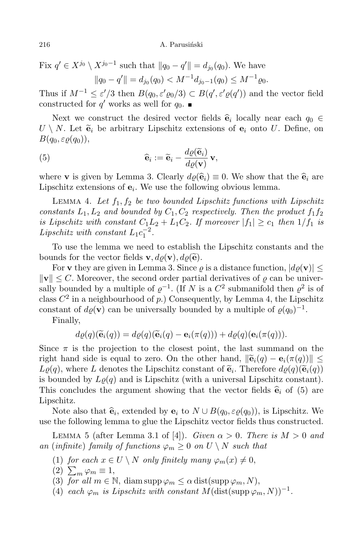Fix  $q' \in X^{j_0} \setminus X^{j_0-1}$  such that  $||q_0 - q'|| = d_{j_0}(q_0)$ . We have  $||q_0 - q'|| = d_{j_0}(q_0) < M^{-1} d_{j_0-1}(q_0) \leq M^{-1} \varrho_0.$ 

Thus if  $M^{-1} \leq \varepsilon'/3$  then  $B(q_0, \varepsilon' \varrho_0/3) \subset B(q', \varepsilon' \varrho(q'))$  and the vector field constructed for  $q'$  works as well for  $q_0$ .

Next we construct the desired vector fields  $\hat{\mathbf{e}}_i$  locally near each  $q_0 \in$ <br>M<sub>g</sub> is the set of the set of the set of the set of the set of the set of the set of the set of the set of the set of the set of the set o  $U \setminus N$ . Let  $\tilde{\mathbf{e}}_i$  be arbitrary Lipschitz extensions of  $\mathbf{e}_i$  onto U. Define, on  $B(q_0, \varepsilon \rho(q_0)),$ 

(5) 
$$
\widehat{\mathbf{e}}_i := \widetilde{\mathbf{e}}_i - \frac{d\varrho(\widetilde{\mathbf{e}}_i)}{d\varrho(\mathbf{v})}\,\mathbf{v},
$$

where **v** is given by Lemma 3. Clearly  $d\varrho(\hat{\mathbf{e}}_i) \equiv 0$ . We show that the  $\hat{\mathbf{e}}_i$  are Lipschitz extensions of  $e_i$ . We use the following obvious lemma.

LEMMA 4. Let  $f_1, f_2$  be two bounded Lipschitz functions with Lipschitz constants  $L_1, L_2$  and bounded by  $C_1, C_2$  respectively. Then the product  $f_1f_2$ is Lipschitz with constant  $C_1L_2 + L_1C_2$ . If moreover  $|f_1| \ge c_1$  then  $1/f_1$  is Lipschitz with constant  $L_1 c_1^{-2}$ .

To use the lemma we need to establish the Lipschitz constants and the bounds for the vector fields  $\mathbf{v}, d\rho(\mathbf{v}), d\rho(\widetilde{\mathbf{e}})$ .

For **v** they are given in Lemma 3. Since  $\rho$  is a distance function,  $|d\rho(\mathbf{v})| \leq$  $\|\mathbf{v}\| \leq C$ . Moreover, the second order partial derivatives of  $\rho$  can be universally bounded by a multiple of  $\varrho^{-1}$ . (If N is a  $C^2$  submanifold then  $\varrho^2$  is of class  $C^2$  in a neighbourhood of p.) Consequently, by Lemma 4, the Lipschitz constant of  $d\varrho(\mathbf{v})$  can be universally bounded by a multiple of  $\varrho(q_0)^{-1}$ .

Finally,

$$
d\varrho(q)(\widetilde{\mathbf{e}}_i(q)) = d\varrho(q)(\widetilde{\mathbf{e}}_i(q) - \mathbf{e}_i(\pi(q))) + d\varrho(q)(\mathbf{e}_i(\pi(q))).
$$

Since  $\pi$  is the projection to the closest point, the last summand on the right hand side is equal to zero. On the other hand,  $\|\widetilde{\mathbf{e}}_i(q) - \mathbf{e}_i(\pi(q))\|$  $L\varrho(q)$ , where L denotes the Lipschitz constant of  $\widetilde{\mathbf{e}}_i$ . Therefore  $d\varrho(q)(\widetilde{\mathbf{e}}_i(q))$ is bounded by  $L\varrho(q)$  and is Lipschitz (with a universal Lipschitz constant). This concludes the argument showing that the vector fields  $\hat{\mathbf{e}}_i$  of (5) are Lipschitz.

Note also that  $\hat{\mathbf{e}}_i$ , extended by  $\mathbf{e}_i$  to  $N \cup B(q_0, \varepsilon \varrho(q_0))$ , is Lipschitz. We use the following lemma to glue the Lipschitz vector fields thus constructed.

LEMMA 5 (after Lemma 3.1 of [4]). Given  $\alpha > 0$ . There is  $M > 0$  and an (infinite) family of functions  $\varphi_m \geq 0$  on  $U \setminus N$  such that

- (1) for each  $x \in U \setminus N$  only finitely many  $\varphi_m(x) \neq 0$ ,
- $(2)$   $\sum_{m} \varphi_m \equiv 1,$
- (3) for all  $m \in \mathbb{N}$ , diam supp  $\varphi_m \leq \alpha$  dist(supp  $\varphi_m$ , N),
- (4) each  $\varphi_m$  is Lipschitz with constant  $M(\text{dist}(\text{supp }\varphi_m, N))^{-1}$ .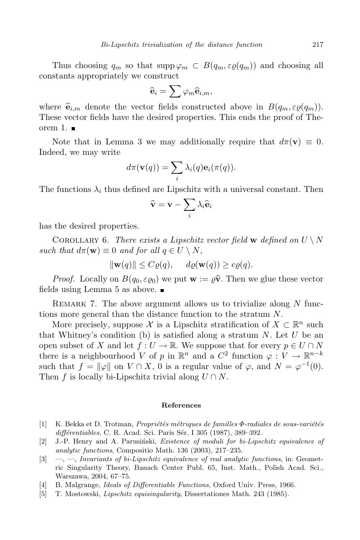Thus choosing  $q_m$  so that  $\text{supp}\,\varphi_m \subset B(q_m, \varepsilon\varrho(q_m))$  and choosing all constants appropriately we construct

$$
\widehat{\mathbf{e}}_i = \sum \varphi_m \widehat{\mathbf{e}}_{i,m},
$$

where  $\hat{\mathbf{e}}_{i,m}$  denote the vector fields constructed above in  $B(q_m, \varepsilon \rho(q_m)).$ These vector fields have the desired properties. This ends the proof of Theorem 1.  $\blacksquare$ 

Note that in Lemma 3 we may additionally require that  $d\pi(\mathbf{v}) \equiv 0$ . Indeed, we may write

$$
d\pi(\mathbf{v}(q)) = \sum_i \lambda_i(q) \mathbf{e}_i(\pi(q)).
$$

The functions  $\lambda_i$  thus defined are Lipschitz with a universal constant. Then

$$
\widehat{\mathbf{v}} = \mathbf{v} - \sum_i \lambda_i \widehat{\mathbf{e}}_i
$$

has the desired properties.

COROLLARY 6. There exists a Lipschitz vector field w defined on  $U \setminus N$ such that  $d\pi(\mathbf{w}) \equiv 0$  and for all  $q \in U \setminus N$ ,

$$
\|\mathbf{w}(q)\| \le C\varrho(q), \quad d\varrho(\mathbf{w}(q)) \ge c\varrho(q).
$$

*Proof.* Locally on  $B(q_0, \varepsilon_{\varrho_0})$  we put  $\mathbf{w} := \varrho \hat{\mathbf{v}}$ . Then we glue these vector fields using Lemma 5 as above.

REMARK 7. The above argument allows us to trivialize along  $N$  functions more general than the distance function to the stratum N.

More precisely, suppose X is a Lipschitz stratification of  $X \subset \mathbb{R}^n$  such that Whitney's condition (b) is satisfied along a stratum  $N$ . Let U be an open subset of X and let  $f: U \to \mathbb{R}$ . We suppose that for every  $p \in U \cap N$ there is a neighbourhood V of p in  $\mathbb{R}^n$  and a  $C^2$  function  $\varphi: V \to \mathbb{R}^{n-k}$ such that  $f = ||\varphi||$  on  $V \cap X$ , 0 is a regular value of  $\varphi$ , and  $N = \varphi^{-1}(0)$ . Then f is locally bi-Lipschitz trivial along  $U \cap N$ .

## References

- [1] K. Bekka et D. Trotman, *Propriétés métriques de familles*  $\Phi$ *-radiales de sous-variétés* différentiables, C. R. Acad. Sci. Paris Sér. I 305 (1987), 389–392.
- $[2]$  J.-P. Henry and A. Parusinski, *Existence of moduli for bi-Lipschitz equivalence of* analytic functions, Compositio Math. 136 (2003), 217–235.
- $[3] \quad -,-$ , Invariants of bi-Lipschitz equivalence of real analytic functions, in: Geometric Singularity Theory, Banach Center Publ. 65, Inst. Math., Polish Acad. Sci., Warszawa, 2004, 67–75.
- [4] B. Malgrange, Ideals of Differentiable Functions, Oxford Univ. Press, 1966.
- [5] T. Mostowski, Lipschitz equisingularity, Dissertationes Math. 243 (1985).